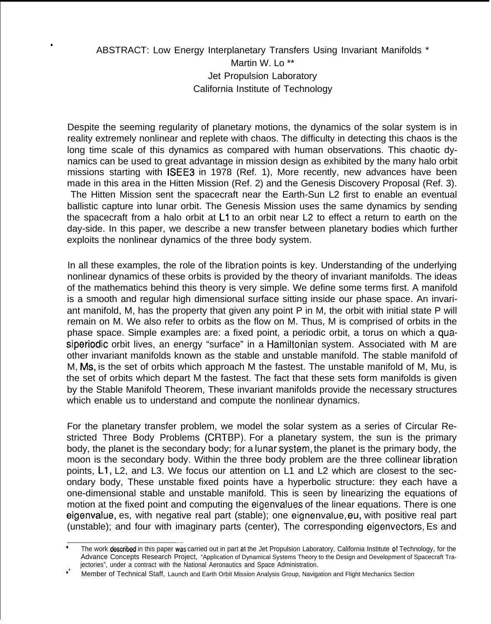## ABSTRACT: Low Energy Interplanetary Transfers Using Invariant Manifolds \* Martin W. Lo \*\* Jet Propulsion Laboratory California Institute of Technology

●

Despite the seeming regularity of planetary motions, the dynamics of the solar system is in reality extremely nonlinear and replete with chaos. The difficulty in detecting this chaos is the long time scale of this dynamics as compared with human observations. This chaotic dynamics can be used to great advantage in mission design as exhibited by the many halo orbit missions starting with ISEE3 in 1978 (Ref. 1), More recently, new advances have been made in this area in the Hitten Mission (Ref. 2) and the Genesis Discovery Proposal (Ref. 3). The Hitten Mission sent the spacecraft near the Earth-Sun L2 first to enable an eventual ballistic capture into lunar orbit. The Genesis Mission uses the same dynamics by sending the spacecraft from a halo orbit at L1 to an orbit near L2 to effect a return to earth on the day-side. In this paper, we describe a new transfer between planetary bodies which further exploits the nonlinear dynamics of the three body system.

In all these examples, the role of the Iibration points is key. Understanding of the underlying nonlinear dynamics of these orbits is provided by the theory of invariant manifolds. The ideas of the mathematics behind this theory is very simple. We define some terms first. A manifold is a smooth and regular high dimensional surface sitting inside our phase space. An invariant manifold, M, has the property that given any point P in M, the orbit with initial state P will remain on M. We also refer to orbits as the flow on M. Thus, M is comprised of orbits in the phase space. Simple examples are: a fixed point, a periodic orbit, a torus on which a quasiperiodic orbit lives, an energy "surface" in a Hamiltonian system. Associated with M are other invariant manifolds known as the stable and unstable manifold. The stable manifold of M, Ms, is the set of orbits which approach M the fastest. The unstable manifold of M, Mu, is the set of orbits which depart M the fastest. The fact that these sets form manifolds is given by the Stable Manifold Theorem, These invariant manifolds provide the necessary structures which enable us to understand and compute the nonlinear dynamics.

For the planetary transfer problem, we model the solar system as a series of Circular Restricted Three Body Problems (CRTBP). For a planetary system, the sun is the primary body, the planet is the secondary body; for a Iunarsystem, the planet is the primary body, the moon is the secondary body. Within the three body problem are the three collinear Iibration points, L1, L2, and L3. We focus our attention on L1 and L2 which are closest to the secondary body, These unstable fixed points have a hyperbolic structure: they each have a one-dimensional stable and unstable manifold. This is seen by linearizing the equations of motion at the fixed point and computing the eigenvalues of the linear equations. There is one eigenvalue, es, with negative real part (stable); one eignenvalue, eu, with positive real part (unstable); and four with imaginary parts (center), The corresponding eigenvectors, Es and

The work **described** in this paper was carried out in part at the Jet Propulsion Laboratory, California Institute of Technology, for the Advance Concepts Research Project, "Application of Dynamical Systems Theory to the Design and Development of Spacecraft Trajectories", under a contract with the National Aeronautics and Space Administration.

Member of Technical Staff, Launch and Earth Orbit Mission Analysis Group, Navigation and Flight Mechanics Section